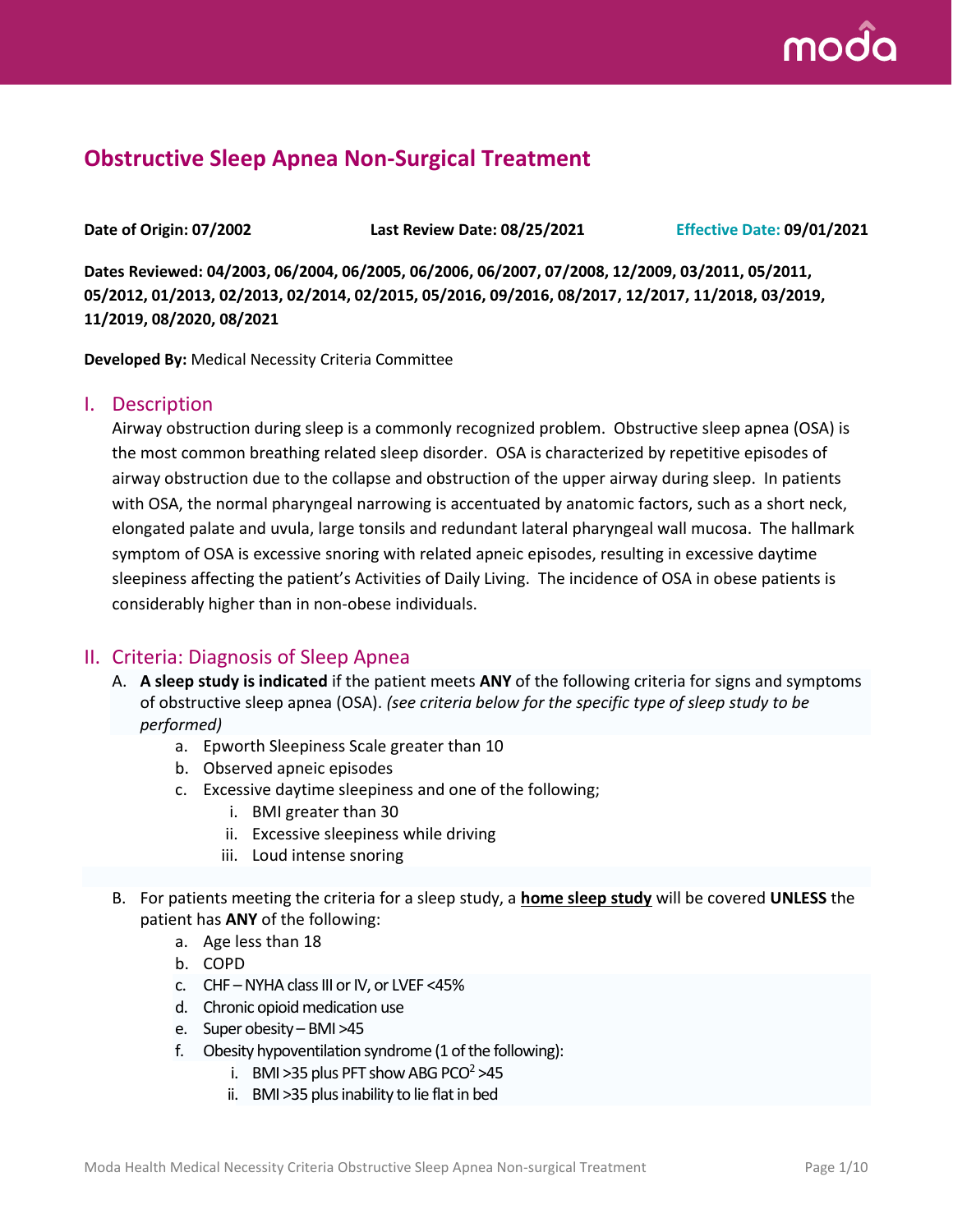

# **Obstructive Sleep Apnea Non-Surgical Treatment**

**Date of Origin: 07/2002 Last Review Date: 08/25/2021 Effective Date: 09/01/2021**

**Dates Reviewed: 04/2003, 06/2004, 06/2005, 06/2006, 06/2007, 07/2008, 12/2009, 03/2011, 05/2011, 05/2012, 01/2013, 02/2013, 02/2014, 02/2015, 05/2016, 09/2016, 08/2017, 12/2017, 11/2018, 03/2019, 11/2019, 08/2020, 08/2021**

**Developed By:** Medical Necessity Criteria Committee

#### I. Description

Airway obstruction during sleep is a commonly recognized problem. Obstructive sleep apnea (OSA) is the most common breathing related sleep disorder. OSA is characterized by repetitive episodes of airway obstruction due to the collapse and obstruction of the upper airway during sleep. In patients with OSA, the normal pharyngeal narrowing is accentuated by anatomic factors, such as a short neck, elongated palate and uvula, large tonsils and redundant lateral pharyngeal wall mucosa. The hallmark symptom of OSA is excessive snoring with related apneic episodes, resulting in excessive daytime sleepiness affecting the patient's Activities of Daily Living. The incidence of OSA in obese patients is considerably higher than in non-obese individuals.

#### II. Criteria: Diagnosis of Sleep Apnea

- A. **A sleep study is indicated** if the patient meets **ANY** of the following criteria for signs and symptoms of obstructive sleep apnea (OSA). *(see criteria below for the specific type of sleep study to be performed)*
	- a. Epworth Sleepiness Scale greater than 10
	- b. Observed apneic episodes
	- c. Excessive daytime sleepiness and one of the following;
		- i. BMI greater than 30
		- ii. Excessive sleepiness while driving
		- iii. Loud intense snoring
- B. For patients meeting the criteria for a sleep study, a **home sleep study** will be covered **UNLESS** the patient has **ANY** of the following:
	- a. Age less than 18
	- b. COPD
	- c. CHF –NYHA class III or IV, or LVEF <45%
	- d. Chronic opioid medication use
	- e. Super obesity BMI >45
	- f. Obesity hypoventilation syndrome (1 of the following):
		- i. BMI > 35 plus PFT show ABG PCO<sup>2</sup> > 45
		- ii. BMI >35 plus inability to lie flat in bed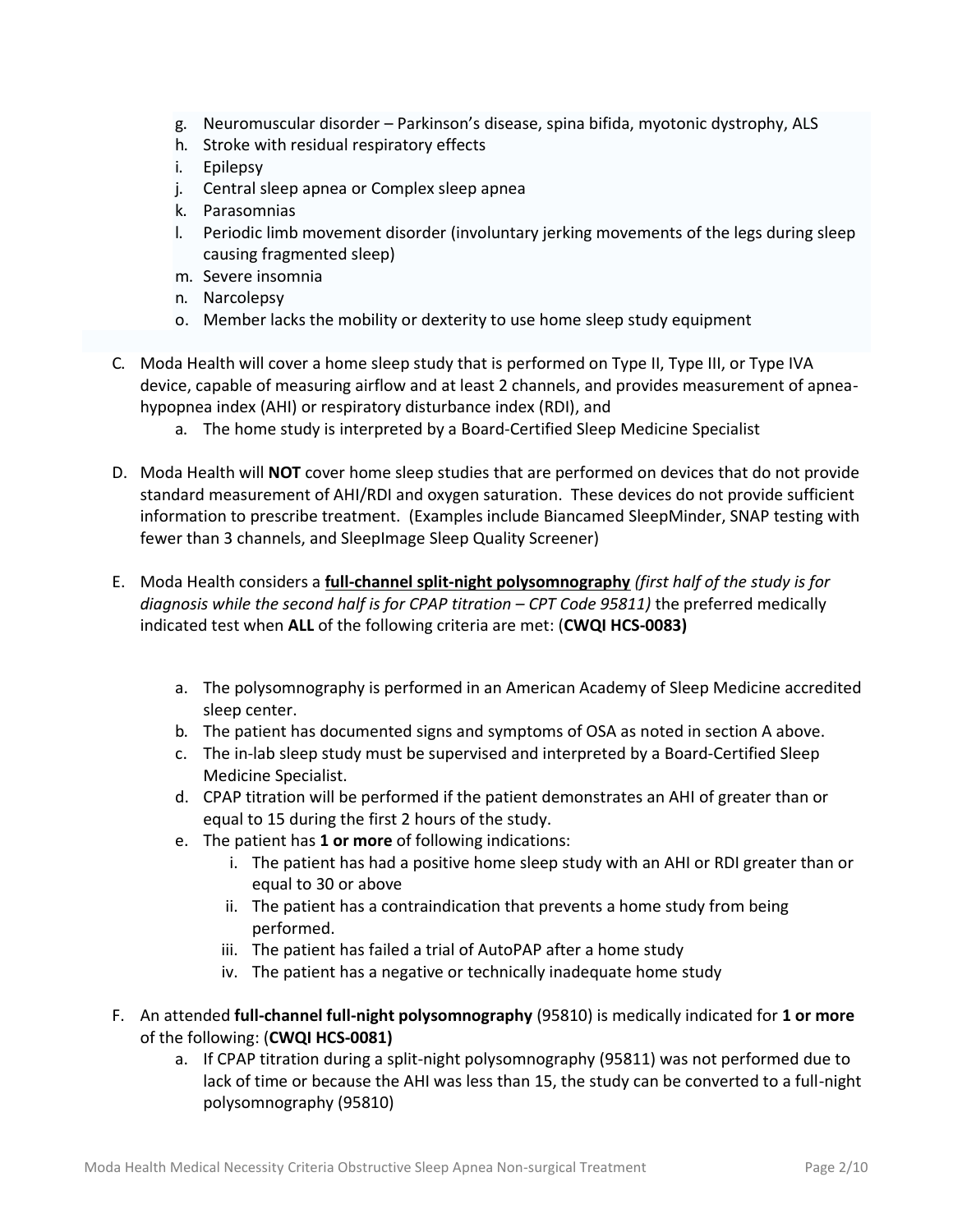- g. Neuromuscular disorder Parkinson's disease, spina bifida, myotonic dystrophy, ALS
- h. Stroke with residual respiratory effects
- i. Epilepsy
- j. Central sleep apnea or Complex sleep apnea
- k. Parasomnias
- l. Periodic limb movement disorder (involuntary jerking movements of the legs during sleep causing fragmented sleep)
- m. Severe insomnia
- n. Narcolepsy
- o. Member lacks the mobility or dexterity to use home sleep study equipment
- C. Moda Health will cover a home sleep study that is performed on Type II, Type III, or Type IVA device, capable of measuring airflow and at least 2 channels, and provides measurement of apneahypopnea index (AHI) or respiratory disturbance index (RDI), and
	- a. The home study is interpreted by a Board-Certified Sleep Medicine Specialist
- D. Moda Health will **NOT** cover home sleep studies that are performed on devices that do not provide standard measurement of AHI/RDI and oxygen saturation. These devices do not provide sufficient information to prescribe treatment. (Examples include Biancamed SleepMinder, SNAP testing with fewer than 3 channels, and SleepImage Sleep Quality Screener)
- E. Moda Health considers a **full-channel split-night polysomnography** *(first half of the study is for diagnosis while the second half is for CPAP titration – CPT Code 95811)* the preferred medically indicated test when **ALL** of the following criteria are met: (**CWQI HCS-0083)**
	- a. The polysomnography is performed in an American Academy of Sleep Medicine accredited sleep center.
	- b. The patient has documented signs and symptoms of OSA as noted in section A above.
	- c. The in-lab sleep study must be supervised and interpreted by a Board-Certified Sleep Medicine Specialist.
	- d. CPAP titration will be performed if the patient demonstrates an AHI of greater than or equal to 15 during the first 2 hours of the study.
	- e. The patient has **1 or more** of following indications:
		- i. The patient has had a positive home sleep study with an AHI or RDI greater than or equal to 30 or above
		- ii. The patient has a contraindication that prevents a home study from being performed.
		- iii. The patient has failed a trial of AutoPAP after a home study
		- iv. The patient has a negative or technically inadequate home study
- F. An attended **full-channel full-night polysomnography** (95810) is medically indicated for **1 or more** of the following: (**CWQI HCS-0081)**
	- a. If CPAP titration during a split-night polysomnography (95811) was not performed due to lack of time or because the AHI was less than 15, the study can be converted to a full-night polysomnography (95810)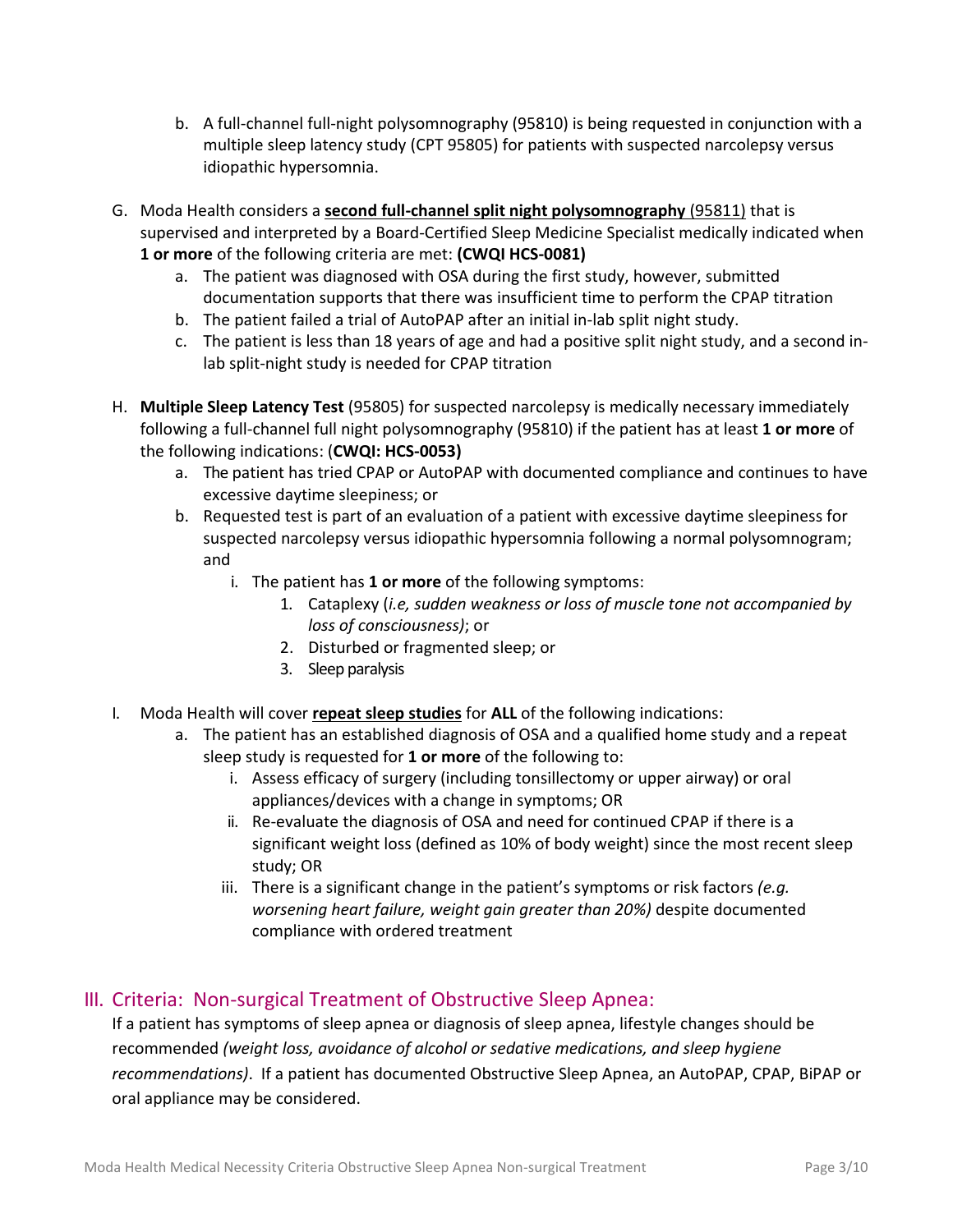- b. A full-channel full-night polysomnography (95810) is being requested in conjunction with a multiple sleep latency study (CPT 95805) for patients with suspected narcolepsy versus idiopathic hypersomnia.
- G. Moda Health considers a **second full-channel split night polysomnography** (95811) that is supervised and interpreted by a Board-Certified Sleep Medicine Specialist medically indicated when **1 or more** of the following criteria are met: **(CWQI HCS-0081)**
	- a. The patient was diagnosed with OSA during the first study, however, submitted documentation supports that there was insufficient time to perform the CPAP titration
	- b. The patient failed a trial of AutoPAP after an initial in-lab split night study.
	- c. The patient is less than 18 years of age and had a positive split night study, and a second inlab split-night study is needed for CPAP titration
- H. **Multiple Sleep Latency Test** (95805) for suspected narcolepsy is medically necessary immediately following a full-channel full night polysomnography (95810) if the patient has at least **1 or more** of the following indications: (**CWQI: HCS-0053)**
	- a. The patient has tried CPAP or AutoPAP with documented compliance and continues to have excessive daytime sleepiness; or
	- b. Requested test is part of an evaluation of a patient with excessive daytime sleepiness for suspected narcolepsy versus idiopathic hypersomnia following a normal polysomnogram; and
		- i. The patient has **1 or more** of the following symptoms:
			- 1. Cataplexy (*i.e, sudden weakness or loss of muscle tone not accompanied by loss of consciousness)*; or
			- 2. Disturbed or fragmented sleep; or
			- 3. Sleep paralysis
- I. Moda Health will cover **repeat sleep studies** for **ALL** of the following indications:
	- a. The patient has an established diagnosis of OSA and a qualified home study and a repeat sleep study is requested for **1 or more** of the following to:
		- i. Assess efficacy of surgery (including tonsillectomy or upper airway) or oral appliances/devices with a change in symptoms; OR
		- ii. Re-evaluate the diagnosis of OSA and need for continued CPAP if there is a significant weight loss (defined as 10% of body weight) since the most recent sleep study; OR
		- iii. There is a significant change in the patient's symptoms or risk factors *(e.g. worsening heart failure, weight gain greater than 20%)* despite documented compliance with ordered treatment

## III. Criteria: Non-surgical Treatment of Obstructive Sleep Apnea:

If a patient has symptoms of sleep apnea or diagnosis of sleep apnea, lifestyle changes should be recommended *(weight loss, avoidance of alcohol or sedative medications, and sleep hygiene recommendations)*. If a patient has documented Obstructive Sleep Apnea, an AutoPAP, CPAP, BiPAP or oral appliance may be considered.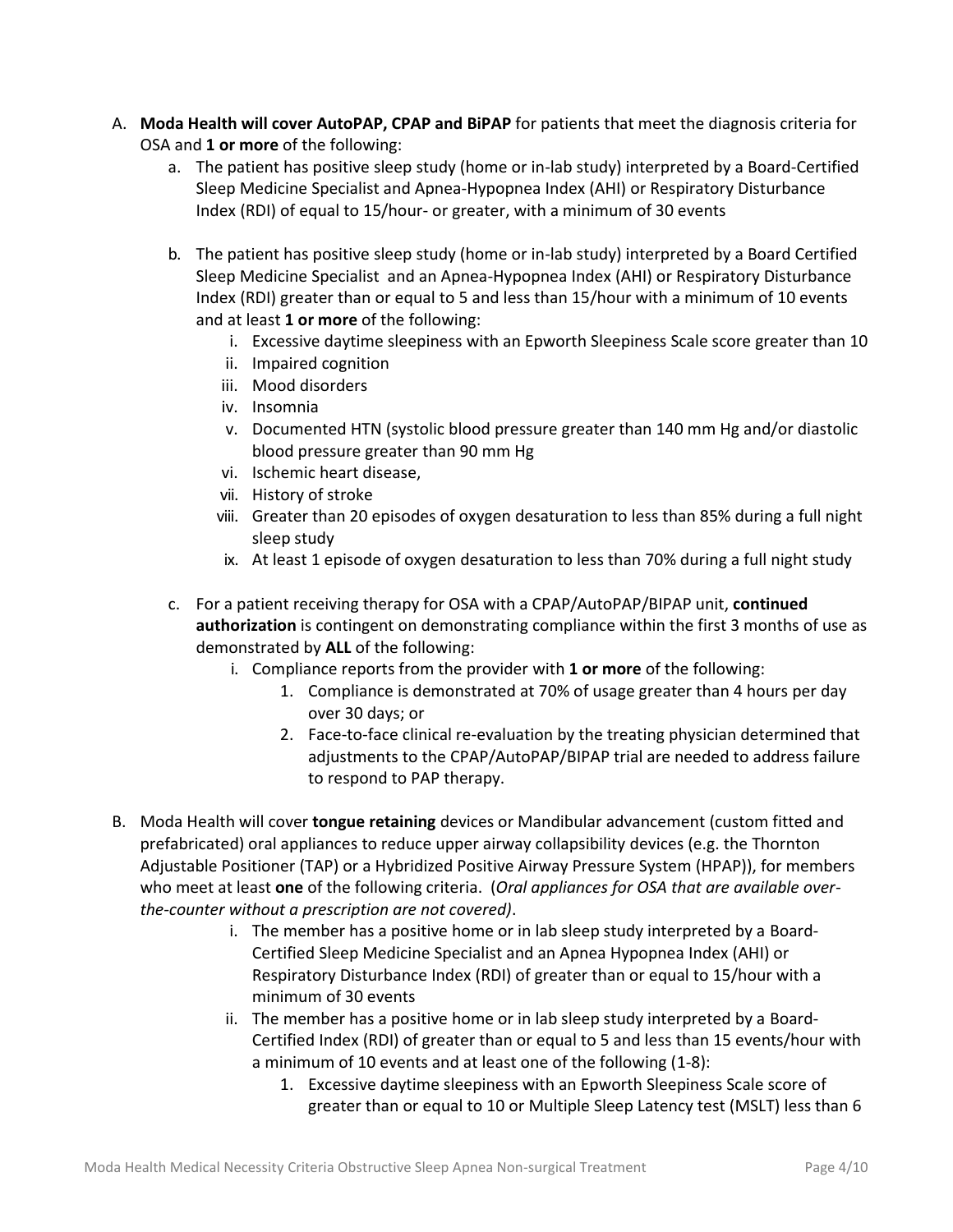- A. **Moda Health will cover AutoPAP, CPAP and BiPAP** for patients that meet the diagnosis criteria for OSA and **1 or more** of the following:
	- a. The patient has positive sleep study (home or in-lab study) interpreted by a Board-Certified Sleep Medicine Specialist and Apnea-Hypopnea Index (AHI) or Respiratory Disturbance Index (RDI) of equal to 15/hour- or greater, with a minimum of 30 events
	- b. The patient has positive sleep study (home or in-lab study) interpreted by a Board Certified Sleep Medicine Specialist and an Apnea-Hypopnea Index (AHI) or Respiratory Disturbance Index (RDI) greater than or equal to 5 and less than 15/hour with a minimum of 10 events and at least **1 or more** of the following:
		- i. Excessive daytime sleepiness with an Epworth Sleepiness Scale score greater than 10
		- ii. Impaired cognition
		- iii. Mood disorders
		- iv. Insomnia
		- v. Documented HTN (systolic blood pressure greater than 140 mm Hg and/or diastolic blood pressure greater than 90 mm Hg
		- vi. Ischemic heart disease,
		- vii. History of stroke
		- viii. Greater than 20 episodes of oxygen desaturation to less than 85% during a full night sleep study
		- ix. At least 1 episode of oxygen desaturation to less than 70% during a full night study
	- c. For a patient receiving therapy for OSA with a CPAP/AutoPAP/BIPAP unit, **continued authorization** is contingent on demonstrating compliance within the first 3 months of use as demonstrated by **ALL** of the following:
		- i. Compliance reports from the provider with **1 or more** of the following:
			- 1. Compliance is demonstrated at 70% of usage greater than 4 hours per day over 30 days; or
			- 2. Face-to-face clinical re-evaluation by the treating physician determined that adjustments to the CPAP/AutoPAP/BIPAP trial are needed to address failure to respond to PAP therapy.
- B. Moda Health will cover **tongue retaining** devices or Mandibular advancement (custom fitted and prefabricated) oral appliances to reduce upper airway collapsibility devices (e.g. the Thornton Adjustable Positioner (TAP) or a Hybridized Positive Airway Pressure System (HPAP)), for members who meet at least **one** of the following criteria. (*Oral appliances for OSA that are available overthe-counter without a prescription are not covered)*.
	- i. The member has a positive home or in lab sleep study interpreted by a Board-Certified Sleep Medicine Specialist and an Apnea Hypopnea Index (AHI) or Respiratory Disturbance Index (RDI) of greater than or equal to 15/hour with a minimum of 30 events
	- ii. The member has a positive home or in lab sleep study interpreted by a Board-Certified Index (RDI) of greater than or equal to 5 and less than 15 events/hour with a minimum of 10 events and at least one of the following (1-8):
		- 1. Excessive daytime sleepiness with an Epworth Sleepiness Scale score of greater than or equal to 10 or Multiple Sleep Latency test (MSLT) less than 6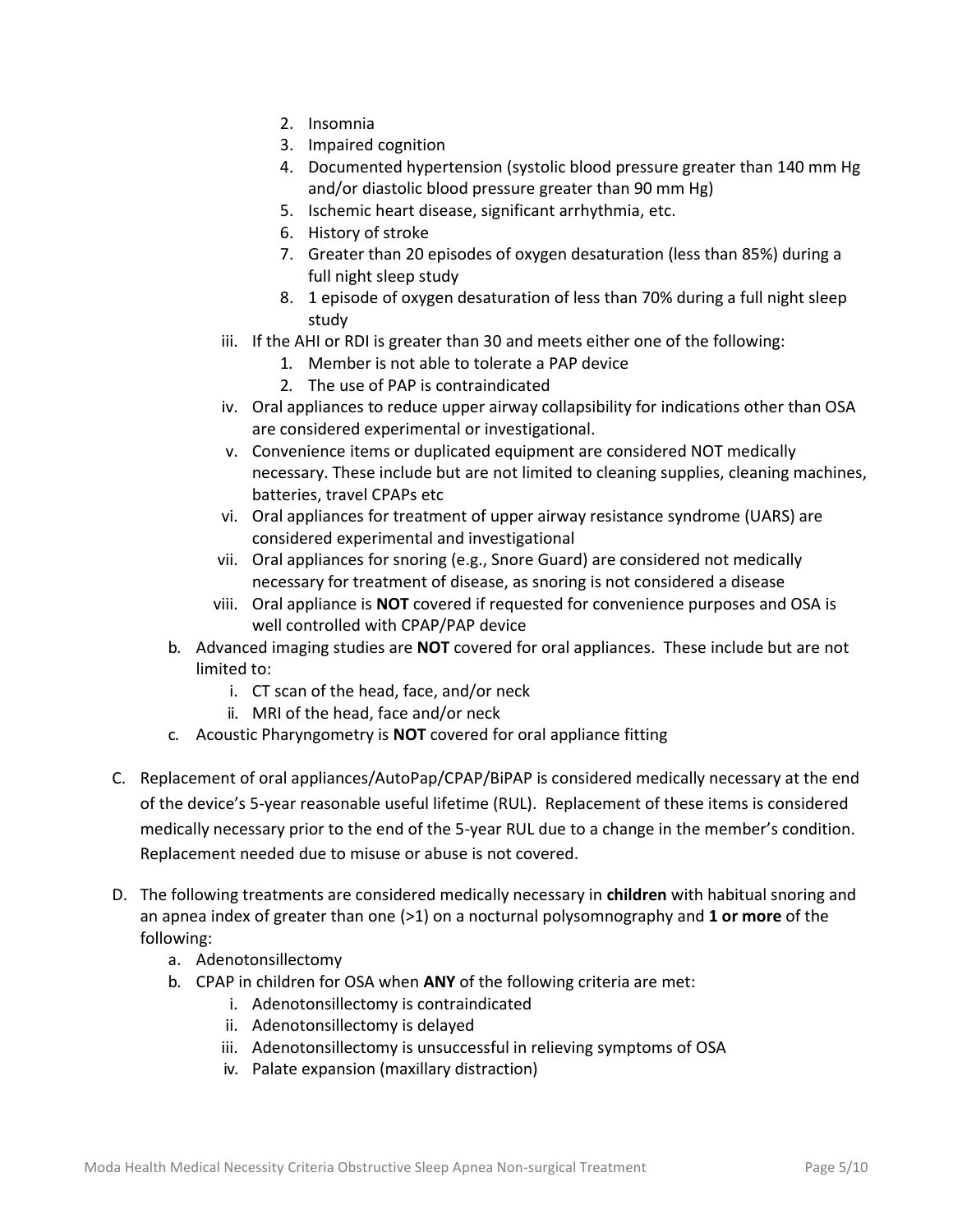- 2. Insomnia
- 3. Impaired cognition
- 4. Documented hypertension (systolic blood pressure greater than 140 mm Hg and/or diastolic blood pressure greater than 90 mm Hg)
- 5. Ischemic heart disease, significant arrhythmia, etc.
- 6. History of stroke
- 7. Greater than 20 episodes of oxygen desaturation (less than 85%) during a full night sleep study
- 8. 1 episode of oxygen desaturation of less than 70% during a full night sleep study
- iii. If the AHI or RDI is greater than 30 and meets either one of the following:
	- 1. Member is not able to tolerate a PAP device
	- 2. The use of PAP is contraindicated
- iv. Oral appliances to reduce upper airway collapsibility for indications other than OSA are considered experimental or investigational.
- v. Convenience items or duplicated equipment are considered NOT medically necessary. These include but are not limited to cleaning supplies, cleaning machines, batteries, travel CPAPs etc
- vi. Oral appliances for treatment of upper airway resistance syndrome (UARS) are considered experimental and investigational
- vii. Oral appliances for snoring (e.g., Snore Guard) are considered not medically necessary for treatment of disease, as snoring is not considered a disease
- viii. Oral appliance is **NOT** covered if requested for convenience purposes and OSA is well controlled with CPAP/PAP device
- b. Advanced imaging studies are **NOT** covered for oral appliances. These include but are not limited to:
	- i. CT scan of the head, face, and/or neck
	- ii. MRI of the head, face and/or neck
- c. Acoustic Pharyngometry is **NOT** covered for oral appliance fitting
- C. Replacement of oral appliances/AutoPap/CPAP/BiPAP is considered medically necessary at the end of the device's 5-year reasonable useful lifetime (RUL). Replacement of these items is considered medically necessary prior to the end of the 5-year RUL due to a change in the member's condition. Replacement needed due to misuse or abuse is not covered.
- D. The following treatments are considered medically necessary in **children** with habitual snoring and an apnea index of greater than one (>1) on a nocturnal polysomnography and **1 or more** of the following:
	- a. Adenotonsillectomy
	- b. CPAP in children for OSA when **ANY** of the following criteria are met:
		- i. Adenotonsillectomy is contraindicated
		- ii. Adenotonsillectomy is delayed
		- iii. Adenotonsillectomy is unsuccessful in relieving symptoms of OSA
		- iv. Palate expansion (maxillary distraction)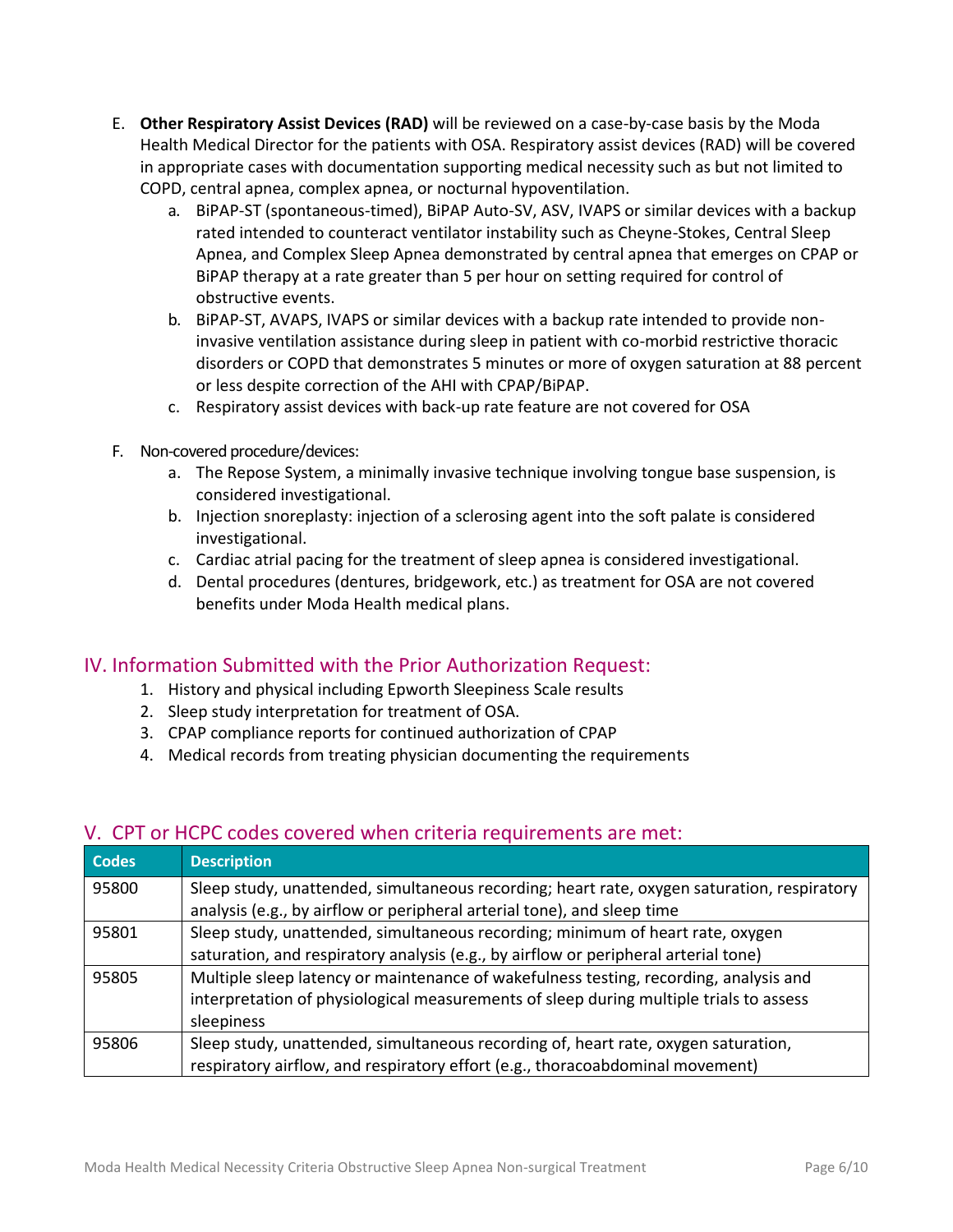- E. **Other Respiratory Assist Devices (RAD)** will be reviewed on a case-by-case basis by the Moda Health Medical Director for the patients with OSA. Respiratory assist devices (RAD) will be covered in appropriate cases with documentation supporting medical necessity such as but not limited to COPD, central apnea, complex apnea, or nocturnal hypoventilation.
	- a. BiPAP-ST (spontaneous-timed), BiPAP Auto-SV, ASV, IVAPS or similar devices with a backup rated intended to counteract ventilator instability such as Cheyne-Stokes, Central Sleep Apnea, and Complex Sleep Apnea demonstrated by central apnea that emerges on CPAP or BiPAP therapy at a rate greater than 5 per hour on setting required for control of obstructive events.
	- b. BiPAP-ST, AVAPS, IVAPS or similar devices with a backup rate intended to provide noninvasive ventilation assistance during sleep in patient with co-morbid restrictive thoracic disorders or COPD that demonstrates 5 minutes or more of oxygen saturation at 88 percent or less despite correction of the AHI with CPAP/BiPAP.
	- c. Respiratory assist devices with back-up rate feature are not covered for OSA
- F. Non-covered procedure/devices:
	- a. The Repose System, a minimally invasive technique involving tongue base suspension, is considered investigational.
	- b. Injection snoreplasty: injection of a sclerosing agent into the soft palate is considered investigational.
	- c. Cardiac atrial pacing for the treatment of sleep apnea is considered investigational.
	- d. Dental procedures (dentures, bridgework, etc.) as treatment for OSA are not covered benefits under Moda Health medical plans.

## IV. Information Submitted with the Prior Authorization Request:

- 1. History and physical including Epworth Sleepiness Scale results
- 2. Sleep study interpretation for treatment of OSA.
- 3. CPAP compliance reports for continued authorization of CPAP
- 4. Medical records from treating physician documenting the requirements

## V. CPT or HCPC codes covered when criteria requirements are met:

| <b>Codes</b> | <b>Description</b>                                                                          |
|--------------|---------------------------------------------------------------------------------------------|
| 95800        | Sleep study, unattended, simultaneous recording; heart rate, oxygen saturation, respiratory |
|              | analysis (e.g., by airflow or peripheral arterial tone), and sleep time                     |
| 95801        | Sleep study, unattended, simultaneous recording; minimum of heart rate, oxygen              |
|              | saturation, and respiratory analysis (e.g., by airflow or peripheral arterial tone)         |
| 95805        | Multiple sleep latency or maintenance of wakefulness testing, recording, analysis and       |
|              | interpretation of physiological measurements of sleep during multiple trials to assess      |
|              | sleepiness                                                                                  |
| 95806        | Sleep study, unattended, simultaneous recording of, heart rate, oxygen saturation,          |
|              | respiratory airflow, and respiratory effort (e.g., thoracoabdominal movement)               |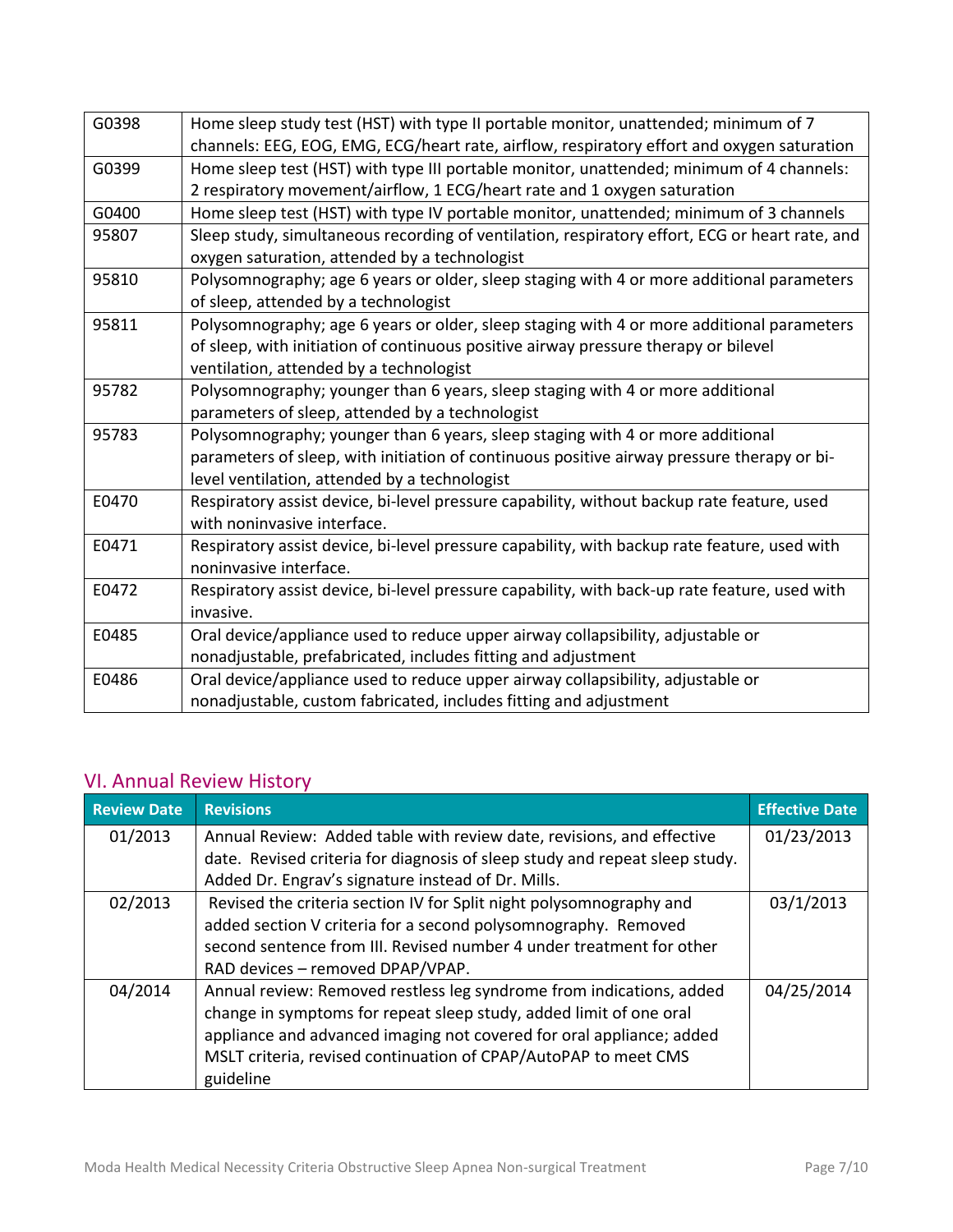| G0398 | Home sleep study test (HST) with type II portable monitor, unattended; minimum of 7            |
|-------|------------------------------------------------------------------------------------------------|
|       | channels: EEG, EOG, EMG, ECG/heart rate, airflow, respiratory effort and oxygen saturation     |
| G0399 | Home sleep test (HST) with type III portable monitor, unattended; minimum of 4 channels:       |
|       | 2 respiratory movement/airflow, 1 ECG/heart rate and 1 oxygen saturation                       |
| G0400 | Home sleep test (HST) with type IV portable monitor, unattended; minimum of 3 channels         |
| 95807 | Sleep study, simultaneous recording of ventilation, respiratory effort, ECG or heart rate, and |
|       | oxygen saturation, attended by a technologist                                                  |
| 95810 | Polysomnography; age 6 years or older, sleep staging with 4 or more additional parameters      |
|       | of sleep, attended by a technologist                                                           |
| 95811 | Polysomnography; age 6 years or older, sleep staging with 4 or more additional parameters      |
|       | of sleep, with initiation of continuous positive airway pressure therapy or bilevel            |
|       | ventilation, attended by a technologist                                                        |
| 95782 | Polysomnography; younger than 6 years, sleep staging with 4 or more additional                 |
|       | parameters of sleep, attended by a technologist                                                |
| 95783 | Polysomnography; younger than 6 years, sleep staging with 4 or more additional                 |
|       | parameters of sleep, with initiation of continuous positive airway pressure therapy or bi-     |
|       | level ventilation, attended by a technologist                                                  |
| E0470 | Respiratory assist device, bi-level pressure capability, without backup rate feature, used     |
|       | with noninvasive interface.                                                                    |
| E0471 | Respiratory assist device, bi-level pressure capability, with backup rate feature, used with   |
|       | noninvasive interface.                                                                         |
| E0472 | Respiratory assist device, bi-level pressure capability, with back-up rate feature, used with  |
|       | invasive.                                                                                      |
| E0485 | Oral device/appliance used to reduce upper airway collapsibility, adjustable or                |
|       | nonadjustable, prefabricated, includes fitting and adjustment                                  |
| E0486 | Oral device/appliance used to reduce upper airway collapsibility, adjustable or                |
|       | nonadjustable, custom fabricated, includes fitting and adjustment                              |
|       |                                                                                                |

## VI. Annual Review History

| <b>Review Date</b>                                                             | <b>Revisions</b>                                                            | <b>Effective Date</b> |
|--------------------------------------------------------------------------------|-----------------------------------------------------------------------------|-----------------------|
| 01/2013                                                                        | Annual Review: Added table with review date, revisions, and effective       | 01/23/2013            |
|                                                                                | date. Revised criteria for diagnosis of sleep study and repeat sleep study. |                       |
|                                                                                | Added Dr. Engrav's signature instead of Dr. Mills.                          |                       |
| Revised the criteria section IV for Split night polysomnography and<br>02/2013 |                                                                             | 03/1/2013             |
|                                                                                | added section V criteria for a second polysomnography. Removed              |                       |
|                                                                                | second sentence from III. Revised number 4 under treatment for other        |                       |
|                                                                                | RAD devices - removed DPAP/VPAP.                                            |                       |
| 04/2014                                                                        | Annual review: Removed restless leg syndrome from indications, added        | 04/25/2014            |
|                                                                                | change in symptoms for repeat sleep study, added limit of one oral          |                       |
|                                                                                | appliance and advanced imaging not covered for oral appliance; added        |                       |
|                                                                                | MSLT criteria, revised continuation of CPAP/AutoPAP to meet CMS             |                       |
|                                                                                | guideline                                                                   |                       |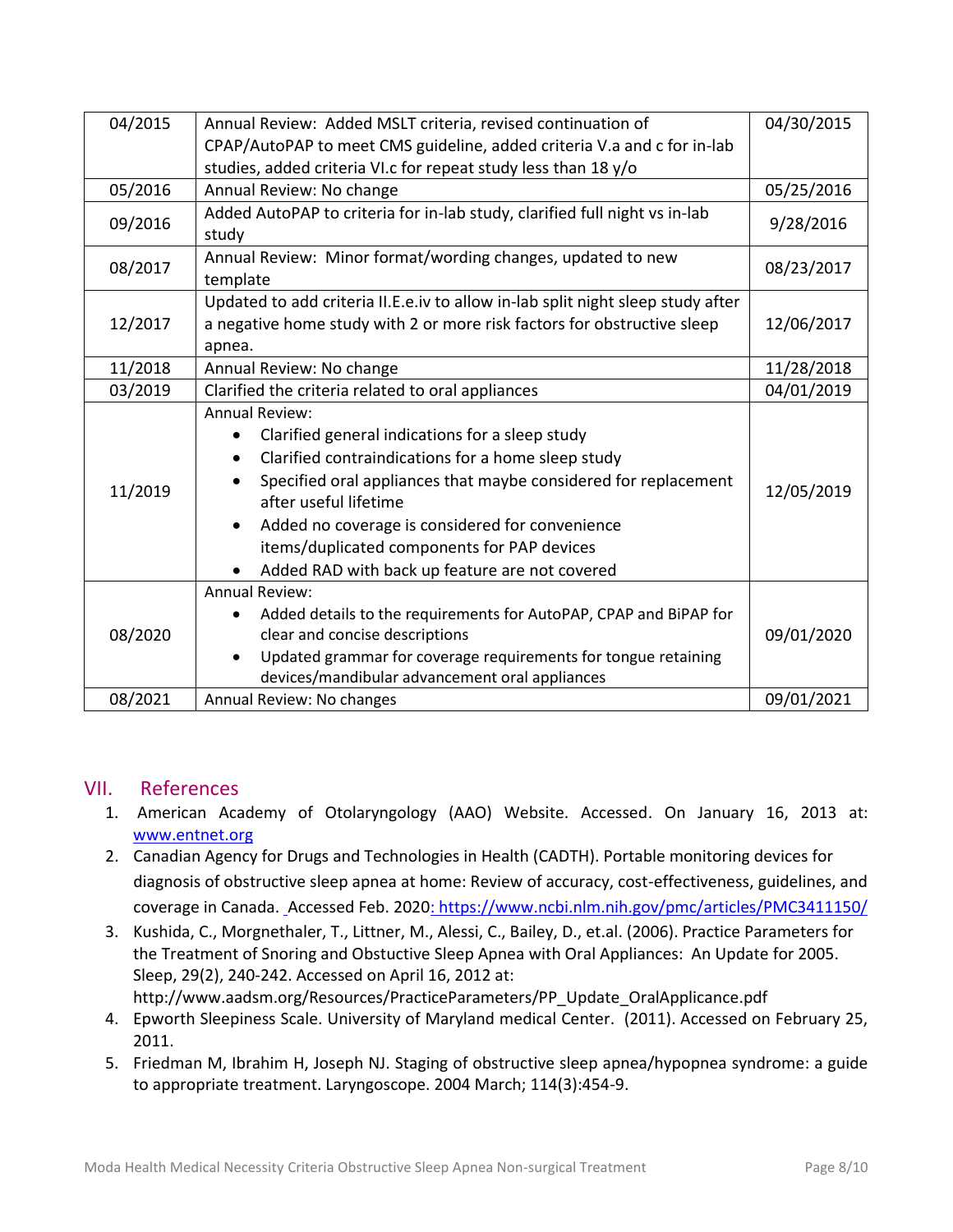| 04/2015 | Annual Review: Added MSLT criteria, revised continuation of                                                                                                                                                                                                                                                                                                                                              |            |  |
|---------|----------------------------------------------------------------------------------------------------------------------------------------------------------------------------------------------------------------------------------------------------------------------------------------------------------------------------------------------------------------------------------------------------------|------------|--|
|         | CPAP/AutoPAP to meet CMS guideline, added criteria V.a and c for in-lab                                                                                                                                                                                                                                                                                                                                  |            |  |
|         | studies, added criteria VI.c for repeat study less than 18 y/o                                                                                                                                                                                                                                                                                                                                           |            |  |
| 05/2016 | Annual Review: No change                                                                                                                                                                                                                                                                                                                                                                                 | 05/25/2016 |  |
| 09/2016 | Added AutoPAP to criteria for in-lab study, clarified full night vs in-lab<br>study                                                                                                                                                                                                                                                                                                                      | 9/28/2016  |  |
| 08/2017 | Annual Review: Minor format/wording changes, updated to new<br>template                                                                                                                                                                                                                                                                                                                                  | 08/23/2017 |  |
| 12/2017 | Updated to add criteria II.E.e.iv to allow in-lab split night sleep study after<br>a negative home study with 2 or more risk factors for obstructive sleep<br>apnea.                                                                                                                                                                                                                                     | 12/06/2017 |  |
| 11/2018 | Annual Review: No change                                                                                                                                                                                                                                                                                                                                                                                 | 11/28/2018 |  |
| 03/2019 | Clarified the criteria related to oral appliances                                                                                                                                                                                                                                                                                                                                                        | 04/01/2019 |  |
| 11/2019 | <b>Annual Review:</b><br>Clarified general indications for a sleep study<br>$\bullet$<br>Clarified contraindications for a home sleep study<br>Specified oral appliances that maybe considered for replacement<br>after useful lifetime<br>Added no coverage is considered for convenience<br>$\bullet$<br>items/duplicated components for PAP devices<br>Added RAD with back up feature are not covered | 12/05/2019 |  |
| 08/2020 | <b>Annual Review:</b><br>Added details to the requirements for AutoPAP, CPAP and BiPAP for<br>$\bullet$<br>clear and concise descriptions<br>Updated grammar for coverage requirements for tongue retaining<br>$\bullet$<br>devices/mandibular advancement oral appliances                                                                                                                               | 09/01/2020 |  |
| 08/2021 | Annual Review: No changes                                                                                                                                                                                                                                                                                                                                                                                | 09/01/2021 |  |

#### VII. References

- 1. American Academy of Otolaryngology (AAO) Website. Accessed. On January 16, 2013 at: [www.entnet.org](http://www.entnet.org/)
- 2. Canadian Agency for Drugs and Technologies in Health (CADTH). Portable monitoring devices for diagnosis of obstructive sleep apnea at home: Review of accuracy, cost-effectiveness, guidelines, and coverage in Canada. Accessed Feb. 2020: https://www.ncbi.nlm.nih.gov/pmc/articles/PMC3411150/
- 3. Kushida, C., Morgnethaler, T., Littner, M., Alessi, C., Bailey, D., et.al. (2006). Practice Parameters for the Treatment of Snoring and Obstuctive Sleep Apnea with Oral Appliances: An Update for 2005. Sleep, 29(2), 240-242. Accessed on April 16, 2012 at: http://www.aadsm.org/Resources/PracticeParameters/PP\_Update\_OralApplicance.pdf
- 4. Epworth Sleepiness Scale. University of Maryland medical Center. (2011). Accessed on February 25, 2011.
- 5. Friedman M, Ibrahim H, Joseph NJ. Staging of obstructive sleep apnea/hypopnea syndrome: a guide to appropriate treatment. Laryngoscope. 2004 March; 114(3):454-9.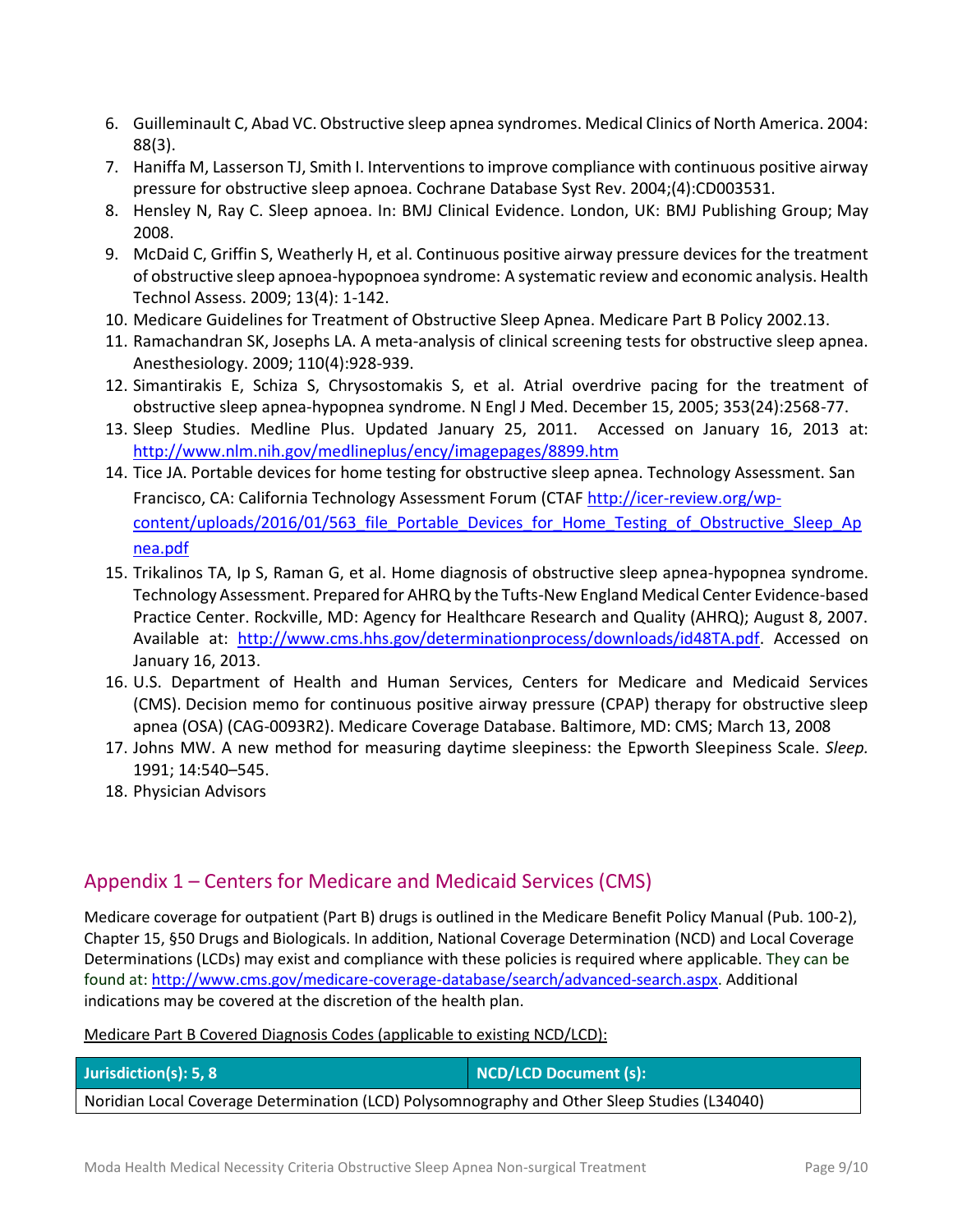- 6. Guilleminault C, Abad VC. Obstructive sleep apnea syndromes. Medical Clinics of North America. 2004: 88(3).
- 7. Haniffa M, Lasserson TJ, Smith I. Interventions to improve compliance with continuous positive airway pressure for obstructive sleep apnoea. Cochrane Database Syst Rev. 2004;(4):CD003531.
- 8. Hensley N, Ray C. Sleep apnoea. In: BMJ Clinical Evidence. London, UK: BMJ Publishing Group; May 2008.
- 9. McDaid C, Griffin S, Weatherly H, et al. Continuous positive airway pressure devices for the treatment of obstructive sleep apnoea-hypopnoea syndrome: A systematic review and economic analysis. Health Technol Assess. 2009; 13(4): 1-142.
- 10. Medicare Guidelines for Treatment of Obstructive Sleep Apnea. Medicare Part B Policy 2002.13.
- 11. Ramachandran SK, Josephs LA. A meta-analysis of clinical screening tests for obstructive sleep apnea. Anesthesiology. 2009; 110(4):928-939.
- 12. Simantirakis E, Schiza S, Chrysostomakis S, et al. Atrial overdrive pacing for the treatment of obstructive sleep apnea-hypopnea syndrome. N Engl J Med. December 15, 2005; 353(24):2568-77.
- 13. Sleep Studies. Medline Plus. Updated January 25, 2011. Accessed on January 16, 2013 at: <http://www.nlm.nih.gov/medlineplus/ency/imagepages/8899.htm>
- 14. Tice JA. Portable devices for home testing for obstructive sleep apnea. Technology Assessment. San Francisco, CA: California Technology Assessment Forum (CTAF http://icer-review.org/wpcontent/uploads/2016/01/563 file Portable Devices for Home Testing of Obstructive Sleep Ap nea.pdf
- 15. Trikalinos TA, Ip S, Raman G, et al. Home diagnosis of obstructive sleep apnea-hypopnea syndrome. Technology Assessment. Prepared for AHRQ by the Tufts-New England Medical Center Evidence-based Practice Center. Rockville, MD: Agency for Healthcare Research and Quality (AHRQ); August 8, 2007. Available at: [http://www.cms.hhs.gov/determinationprocess/downloads/id48TA.pdf.](http://www.cms.hhs.gov/determinationprocess/downloads/id48TA.pdf) Accessed on January 16, 2013.
- 16. U.S. Department of Health and Human Services, Centers for Medicare and Medicaid Services (CMS). Decision memo for continuous positive airway pressure (CPAP) therapy for obstructive sleep apnea (OSA) (CAG-0093R2). Medicare Coverage Database. Baltimore, MD: CMS; March 13, 2008
- 17. Johns MW. A new method for measuring daytime sleepiness: the Epworth Sleepiness Scale. *Sleep.*  1991; 14:540–545.
- 18. Physician Advisors

## Appendix 1 – Centers for Medicare and Medicaid Services (CMS)

Medicare coverage for outpatient (Part B) drugs is outlined in the Medicare Benefit Policy Manual (Pub. 100-2), Chapter 15, §50 Drugs and Biologicals. In addition, National Coverage Determination (NCD) and Local Coverage Determinations (LCDs) may exist and compliance with these policies is required where applicable. They can be found at: http://www.cms.gov/medicare-coverage-database/search/advanced-search.aspx. Additional indications may be covered at the discretion of the health plan.

#### Medicare Part B Covered Diagnosis Codes (applicable to existing NCD/LCD):

| Jurisdiction(s): 5, 8                                                                        | NCD/LCD Document (s): |  |  |  |
|----------------------------------------------------------------------------------------------|-----------------------|--|--|--|
| Noridian Local Coverage Determination (LCD) Polysomnography and Other Sleep Studies (L34040) |                       |  |  |  |